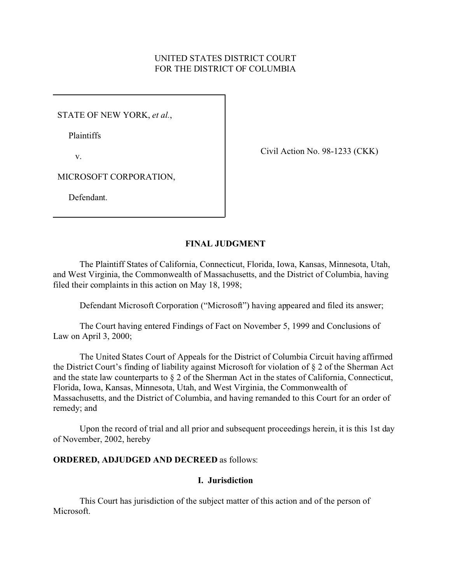## UNITED STATES DISTRICT COURT FOR THE DISTRICT OF COLUMBIA

STATE OF NEW YORK, *et al.*,

Plaintiffs

v.

Civil Action No. 98-1233 (CKK)

MICROSOFT CORPORATION,

Defendant.

# **FINAL JUDGMENT**

The Plaintiff States of California, Connecticut, Florida, Iowa, Kansas, Minnesota, Utah, and West Virginia, the Commonwealth of Massachusetts, and the District of Columbia, having filed their complaints in this action on May 18, 1998;

Defendant Microsoft Corporation ("Microsoft") having appeared and filed its answer;

The Court having entered Findings of Fact on November 5, 1999 and Conclusions of Law on April 3, 2000;

The United States Court of Appeals for the District of Columbia Circuit having affirmed the District Court's finding of liability against Microsoft for violation of § 2 of the Sherman Act and the state law counterparts to § 2 of the Sherman Act in the states of California, Connecticut, Florida, Iowa, Kansas, Minnesota, Utah, and West Virginia, the Commonwealth of Massachusetts, and the District of Columbia, and having remanded to this Court for an order of remedy; and

Upon the record of trial and all prior and subsequent proceedings herein, it is this 1st day of November, 2002, hereby

## **ORDERED, ADJUDGED AND DECREED** as follows:

## **I. Jurisdiction**

This Court has jurisdiction of the subject matter of this action and of the person of Microsoft.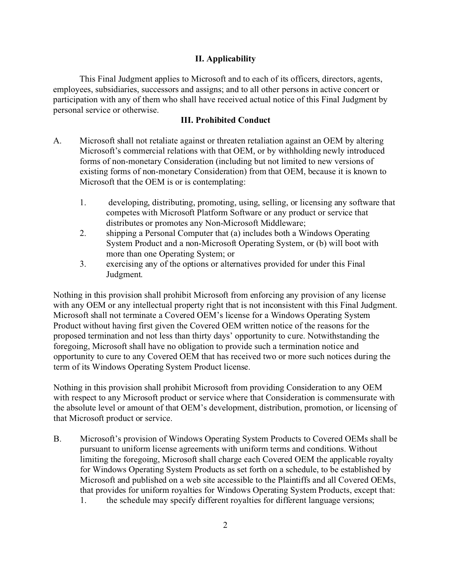### **II. Applicability**

This Final Judgment applies to Microsoft and to each of its officers, directors, agents, employees, subsidiaries, successors and assigns; and to all other persons in active concert or participation with any of them who shall have received actual notice of this Final Judgment by personal service or otherwise.

#### **III. Prohibited Conduct**

- A. Microsoft shall not retaliate against or threaten retaliation against an OEM by altering Microsoft's commercial relations with that OEM, or by withholding newly introduced forms of non-monetary Consideration (including but not limited to new versions of existing forms of non-monetary Consideration) from that OEM, because it is known to Microsoft that the OEM is or is contemplating:
	- 1. developing, distributing, promoting, using, selling, or licensing any software that competes with Microsoft Platform Software or any product or service that distributes or promotes any Non-Microsoft Middleware;
	- 2. shipping a Personal Computer that (a) includes both a Windows Operating System Product and a non-Microsoft Operating System, or (b) will boot with more than one Operating System; or
	- 3. exercising any of the options or alternatives provided for under this Final Judgment.

Nothing in this provision shall prohibit Microsoft from enforcing any provision of any license with any OEM or any intellectual property right that is not inconsistent with this Final Judgment. Microsoft shall not terminate a Covered OEM's license for a Windows Operating System Product without having first given the Covered OEM written notice of the reasons for the proposed termination and not less than thirty days' opportunity to cure. Notwithstanding the foregoing, Microsoft shall have no obligation to provide such a termination notice and opportunity to cure to any Covered OEM that has received two or more such notices during the term of its Windows Operating System Product license.

Nothing in this provision shall prohibit Microsoft from providing Consideration to any OEM with respect to any Microsoft product or service where that Consideration is commensurate with the absolute level or amount of that OEM's development, distribution, promotion, or licensing of that Microsoft product or service.

- B. Microsoft's provision of Windows Operating System Products to Covered OEMs shall be pursuant to uniform license agreements with uniform terms and conditions. Without limiting the foregoing, Microsoft shall charge each Covered OEM the applicable royalty for Windows Operating System Products as set forth on a schedule, to be established by Microsoft and published on a web site accessible to the Plaintiffs and all Covered OEMs, that provides for uniform royalties for Windows Operating System Products, except that:
	- 1. the schedule may specify different royalties for different language versions;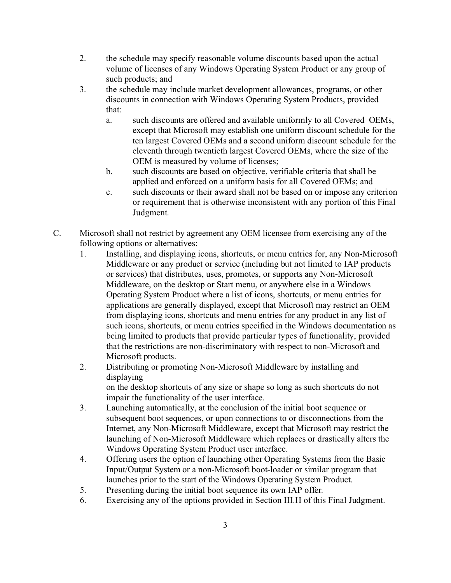- 2. the schedule may specify reasonable volume discounts based upon the actual volume of licenses of any Windows Operating System Product or any group of such products; and
- 3. the schedule may include market development allowances, programs, or other discounts in connection with Windows Operating System Products, provided that:
	- a. such discounts are offered and available uniformly to all Covered OEMs, except that Microsoft may establish one uniform discount schedule for the ten largest Covered OEMs and a second uniform discount schedule for the eleventh through twentieth largest Covered OEMs, where the size of the OEM is measured by volume of licenses;
	- b. such discounts are based on objective, verifiable criteria that shall be applied and enforced on a uniform basis for all Covered OEMs; and
	- c. such discounts or their award shall not be based on or impose any criterion or requirement that is otherwise inconsistent with any portion of this Final Judgment.
- C. Microsoft shall not restrict by agreement any OEM licensee from exercising any of the following options or alternatives:
	- 1. Installing, and displaying icons, shortcuts, or menu entries for, any Non-Microsoft Middleware or any product or service (including but not limited to IAP products or services) that distributes, uses, promotes, or supports any Non-Microsoft Middleware, on the desktop or Start menu, or anywhere else in a Windows Operating System Product where a list of icons, shortcuts, or menu entries for applications are generally displayed, except that Microsoft may restrict an OEM from displaying icons, shortcuts and menu entries for any product in any list of such icons, shortcuts, or menu entries specified in the Windows documentation as being limited to products that provide particular types of functionality, provided that the restrictions are non-discriminatory with respect to non-Microsoft and Microsoft products.
	- 2. Distributing or promoting Non-Microsoft Middleware by installing and displaying on the desktop shortcuts of any size or shape so long as such shortcuts do not impair the functionality of the user interface.
	- 3. Launching automatically, at the conclusion of the initial boot sequence or subsequent boot sequences, or upon connections to or disconnections from the Internet, any Non-Microsoft Middleware, except that Microsoft may restrict the launching of Non-Microsoft Middleware which replaces or drastically alters the Windows Operating System Product user interface.
	- 4. Offering users the option of launching other Operating Systems from the Basic Input/Output System or a non-Microsoft boot-loader or similar program that launches prior to the start of the Windows Operating System Product.
	- 5. Presenting during the initial boot sequence its own IAP offer*.*
	- 6. Exercising any of the options provided in Section III.H of this Final Judgment.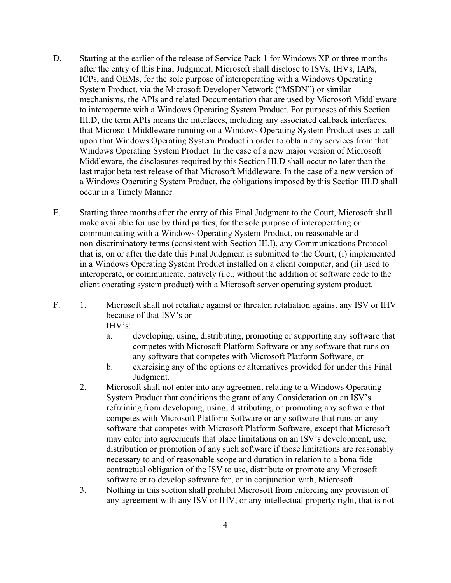- D. Starting at the earlier of the release of Service Pack 1 for Windows XP or three months after the entry of this Final Judgment, Microsoft shall disclose to ISVs, IHVs, IAPs, ICPs, and OEMs, for the sole purpose of interoperating with a Windows Operating System Product, via the Microsoft Developer Network ("MSDN") or similar mechanisms, the APIs and related Documentation that are used by Microsoft Middleware to interoperate with a Windows Operating System Product. For purposes of this Section III.D, the term APIs means the interfaces, including any associated callback interfaces, that Microsoft Middleware running on a Windows Operating System Product uses to call upon that Windows Operating System Product in order to obtain any services from that Windows Operating System Product. In the case of a new major version of Microsoft Middleware, the disclosures required by this Section III.D shall occur no later than the last major beta test release of that Microsoft Middleware. In the case of a new version of a Windows Operating System Product, the obligations imposed by this Section III.D shall occur in a Timely Manner.
- E. Starting three months after the entry of this Final Judgment to the Court, Microsoft shall make available for use by third parties, for the sole purpose of interoperating or communicating with a Windows Operating System Product, on reasonable and non-discriminatory terms (consistent with Section III.I), any Communications Protocol that is, on or after the date this Final Judgment is submitted to the Court, (i) implemented in a Windows Operating System Product installed on a client computer, and (ii) used to interoperate, or communicate, natively (i.e., without the addition of software code to the client operating system product) with a Microsoft server operating system product.
- F. 1. Microsoft shall not retaliate against or threaten retaliation against any ISV or IHV because of that ISV's or IHV's:
	- a. developing, using, distributing, promoting or supporting any software that competes with Microsoft Platform Software or any software that runs on any software that competes with Microsoft Platform Software, or
	- b. exercising any of the options or alternatives provided for under this Final Judgment.
	- 2. Microsoft shall not enter into any agreement relating to a Windows Operating System Product that conditions the grant of any Consideration on an ISV's refraining from developing, using, distributing, or promoting any software that competes with Microsoft Platform Software or any software that runs on any software that competes with Microsoft Platform Software, except that Microsoft may enter into agreements that place limitations on an ISV's development, use, distribution or promotion of any such software if those limitations are reasonably necessary to and of reasonable scope and duration in relation to a bona fide contractual obligation of the ISV to use, distribute or promote any Microsoft software or to develop software for, or in conjunction with, Microsoft.
	- 3. Nothing in this section shall prohibit Microsoft from enforcing any provision of any agreement with any ISV or IHV, or any intellectual property right, that is not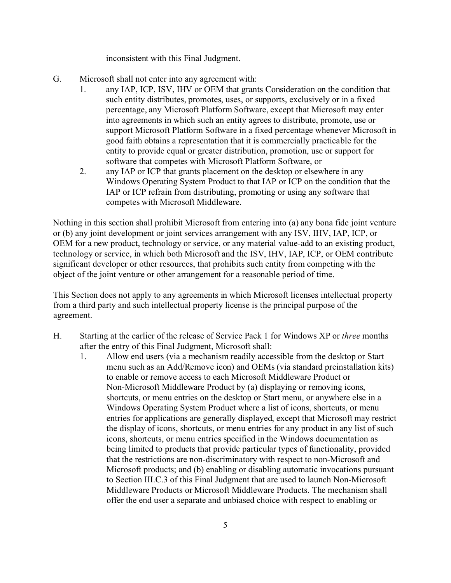inconsistent with this Final Judgment.

- G. Microsoft shall not enter into any agreement with:
	- 1. any IAP, ICP, ISV, IHV or OEM that grants Consideration on the condition that such entity distributes, promotes, uses, or supports, exclusively or in a fixed percentage, any Microsoft Platform Software, except that Microsoft may enter into agreements in which such an entity agrees to distribute, promote, use or support Microsoft Platform Software in a fixed percentage whenever Microsoft in good faith obtains a representation that it is commercially practicable for the entity to provide equal or greater distribution, promotion, use or support for software that competes with Microsoft Platform Software, or
	- 2. any IAP or ICP that grants placement on the desktop or elsewhere in any Windows Operating System Product to that IAP or ICP on the condition that the IAP or ICP refrain from distributing, promoting or using any software that competes with Microsoft Middleware.

Nothing in this section shall prohibit Microsoft from entering into (a) any bona fide joint venture or (b) any joint development or joint services arrangement with any ISV, IHV, IAP, ICP, or OEM for a new product, technology or service, or any material value-add to an existing product, technology or service, in which both Microsoft and the ISV, IHV, IAP, ICP, or OEM contribute significant developer or other resources, that prohibits such entity from competing with the object of the joint venture or other arrangement for a reasonable period of time.

This Section does not apply to any agreements in which Microsoft licenses intellectual property from a third party and such intellectual property license is the principal purpose of the agreement.

- H. Starting at the earlier of the release of Service Pack 1 for Windows XP or *three* months after the entry of this Final Judgment, Microsoft shall:
	- 1. Allow end users (via a mechanism readily accessible from the desktop or Start menu such as an Add/Remove icon) and OEMs (via standard preinstallation kits) to enable or remove access to each Microsoft Middleware Product or Non-Microsoft Middleware Product by (a) displaying or removing icons, shortcuts, or menu entries on the desktop or Start menu, or anywhere else in a Windows Operating System Product where a list of icons, shortcuts, or menu entries for applications are generally displayed, except that Microsoft may restrict the display of icons, shortcuts, or menu entries for any product in any list of such icons, shortcuts, or menu entries specified in the Windows documentation as being limited to products that provide particular types of functionality, provided that the restrictions are non-discriminatory with respect to non-Microsoft and Microsoft products; and (b) enabling or disabling automatic invocations pursuant to Section III.C.3 of this Final Judgment that are used to launch Non-Microsoft Middleware Products or Microsoft Middleware Products. The mechanism shall offer the end user a separate and unbiased choice with respect to enabling or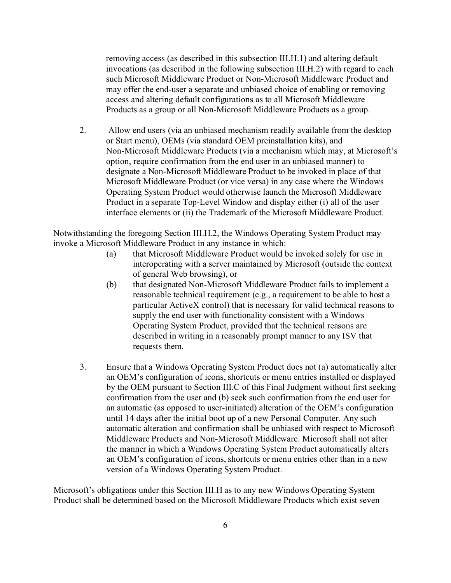removing access (as described in this subsection III.H.1) and altering default invocations (as described in the following subsection III.H.2) with regard to each such Microsoft Middleware Product or Non-Microsoft Middleware Product and may offer the end-user a separate and unbiased choice of enabling or removing access and altering default configurations as to all Microsoft Middleware Products as a group or all Non-Microsoft Middleware Products as a group.

2. Allow end users (via an unbiased mechanism readily available from the desktop or Start menu), OEMs (via standard OEM preinstallation kits), and Non-Microsoft Middleware Products (via a mechanism which may, at Microsoft's option, require confirmation from the end user in an unbiased manner) to designate a Non-Microsoft Middleware Product to be invoked in place of that Microsoft Middleware Product (or vice versa) in any case where the Windows Operating System Product would otherwise launch the Microsoft Middleware Product in a separate Top-Level Window and display either (i) all of the user interface elements or (ii) the Trademark of the Microsoft Middleware Product.

Notwithstanding the foregoing Section III.H.2, the Windows Operating System Product may invoke a Microsoft Middleware Product in any instance in which:

- (a) that Microsoft Middleware Product would be invoked solely for use in interoperating with a server maintained by Microsoft (outside the context of general Web browsing), or
- (b) that designated Non-Microsoft Middleware Product fails to implement a reasonable technical requirement (e.g., a requirement to be able to host a particular ActiveX control) that is necessary for valid technical reasons to supply the end user with functionality consistent with a Windows Operating System Product, provided that the technical reasons are described in writing in a reasonably prompt manner to any ISV that requests them.
- 3. Ensure that a Windows Operating System Product does not (a) automatically alter an OEM's configuration of icons, shortcuts or menu entries installed or displayed by the OEM pursuant to Section III.C of this Final Judgment without first seeking confirmation from the user and (b) seek such confirmation from the end user for an automatic (as opposed to user-initiated) alteration of the OEM's configuration until 14 days after the initial boot up of a new Personal Computer. Any such automatic alteration and confirmation shall be unbiased with respect to Microsoft Middleware Products and Non-Microsoft Middleware. Microsoft shall not alter the manner in which a Windows Operating System Product automatically alters an OEM's configuration of icons, shortcuts or menu entries other than in a new version of a Windows Operating System Product.

Microsoft's obligations under this Section III.H as to any new Windows Operating System Product shall be determined based on the Microsoft Middleware Products which exist seven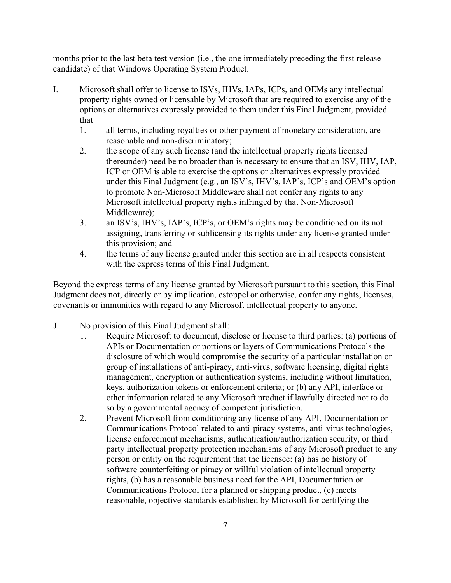months prior to the last beta test version (i.e., the one immediately preceding the first release candidate) of that Windows Operating System Product.

- I. Microsoft shall offer to license to ISVs, IHVs, IAPs, ICPs, and OEMs any intellectual property rights owned or licensable by Microsoft that are required to exercise any of the options or alternatives expressly provided to them under this Final Judgment, provided that
	- 1. all terms, including royalties or other payment of monetary consideration, are reasonable and non-discriminatory;
	- 2. the scope of any such license (and the intellectual property rights licensed thereunder) need be no broader than is necessary to ensure that an ISV, IHV, IAP, ICP or OEM is able to exercise the options or alternatives expressly provided under this Final Judgment (e.g., an ISV's, IHV's, IAP's, ICP's and OEM's option to promote Non-Microsoft Middleware shall not confer any rights to any Microsoft intellectual property rights infringed by that Non-Microsoft Middleware);
	- 3. an ISV's, IHV's, IAP's, ICP's, or OEM's rights may be conditioned on its not assigning, transferring or sublicensing its rights under any license granted under this provision; and
	- 4. the terms of any license granted under this section are in all respects consistent with the express terms of this Final Judgment.

Beyond the express terms of any license granted by Microsoft pursuant to this section, this Final Judgment does not, directly or by implication, estoppel or otherwise, confer any rights, licenses, covenants or immunities with regard to any Microsoft intellectual property to anyone.

- J. No provision of this Final Judgment shall:
	- 1. Require Microsoft to document, disclose or license to third parties: (a) portions of APIs or Documentation or portions or layers of Communications Protocols the disclosure of which would compromise the security of a particular installation or group of installations of anti-piracy, anti-virus, software licensing, digital rights management, encryption or authentication systems, including without limitation, keys, authorization tokens or enforcement criteria; or (b) any API, interface or other information related to any Microsoft product if lawfully directed not to do so by a governmental agency of competent jurisdiction.
	- 2. Prevent Microsoft from conditioning any license of any API, Documentation or Communications Protocol related to anti-piracy systems, anti-virus technologies, license enforcement mechanisms, authentication/authorization security, or third party intellectual property protection mechanisms of any Microsoft product to any person or entity on the requirement that the licensee: (a) has no history of software counterfeiting or piracy or willful violation of intellectual property rights, (b) has a reasonable business need for the API, Documentation or Communications Protocol for a planned or shipping product, (c) meets reasonable, objective standards established by Microsoft for certifying the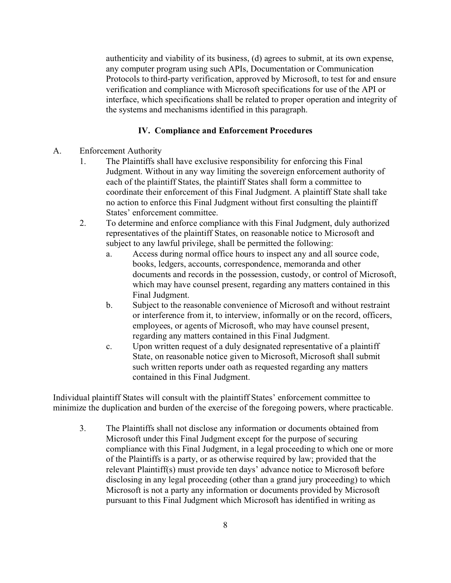authenticity and viability of its business, (d) agrees to submit, at its own expense, any computer program using such APIs, Documentation or Communication Protocols to third-party verification, approved by Microsoft, to test for and ensure verification and compliance with Microsoft specifications for use of the API or interface, which specifications shall be related to proper operation and integrity of the systems and mechanisms identified in this paragraph.

#### **IV. Compliance and Enforcement Procedures**

#### A. Enforcement Authority

- 1. The Plaintiffs shall have exclusive responsibility for enforcing this Final Judgment. Without in any way limiting the sovereign enforcement authority of each of the plaintiff States, the plaintiff States shall form a committee to coordinate their enforcement of this Final Judgment. A plaintiff State shall take no action to enforce this Final Judgment without first consulting the plaintiff States' enforcement committee.
- 2. To determine and enforce compliance with this Final Judgment, duly authorized representatives of the plaintiff States, on reasonable notice to Microsoft and subject to any lawful privilege, shall be permitted the following:
	- a. Access during normal office hours to inspect any and all source code, books, ledgers, accounts, correspondence, memoranda and other documents and records in the possession, custody, or control of Microsoft, which may have counsel present, regarding any matters contained in this Final Judgment.
	- b. Subject to the reasonable convenience of Microsoft and without restraint or interference from it, to interview, informally or on the record, officers, employees, or agents of Microsoft, who may have counsel present, regarding any matters contained in this Final Judgment.
	- c. Upon written request of a duly designated representative of a plaintiff State, on reasonable notice given to Microsoft, Microsoft shall submit such written reports under oath as requested regarding any matters contained in this Final Judgment.

Individual plaintiff States will consult with the plaintiff States' enforcement committee to minimize the duplication and burden of the exercise of the foregoing powers, where practicable.

3. The Plaintiffs shall not disclose any information or documents obtained from Microsoft under this Final Judgment except for the purpose of securing compliance with this Final Judgment, in a legal proceeding to which one or more of the Plaintiffs is a party, or as otherwise required by law; provided that the relevant Plaintiff(s) must provide ten days' advance notice to Microsoft before disclosing in any legal proceeding (other than a grand jury proceeding) to which Microsoft is not a party any information or documents provided by Microsoft pursuant to this Final Judgment which Microsoft has identified in writing as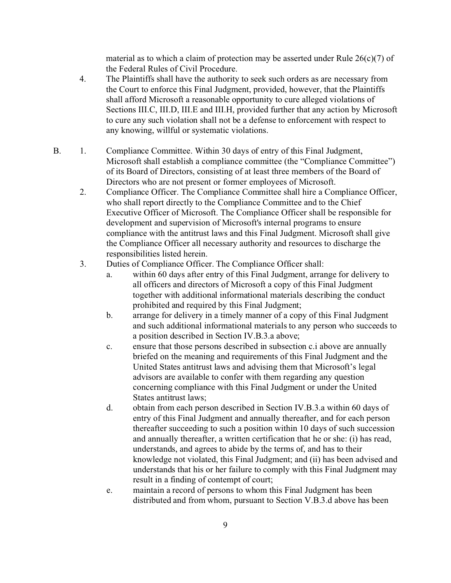material as to which a claim of protection may be asserted under Rule  $26(c)(7)$  of the Federal Rules of Civil Procedure.

- 4. The Plaintiffs shall have the authority to seek such orders as are necessary from the Court to enforce this Final Judgment, provided, however, that the Plaintiffs shall afford Microsoft a reasonable opportunity to cure alleged violations of Sections III.C, III.D, III.E and III.H, provided further that any action by Microsoft to cure any such violation shall not be a defense to enforcement with respect to any knowing, willful or systematic violations.
- B. 1. Compliance Committee. Within 30 days of entry of this Final Judgment, Microsoft shall establish a compliance committee (the "Compliance Committee") of its Board of Directors, consisting of at least three members of the Board of Directors who are not present or former employees of Microsoft.
	- 2. Compliance Officer. The Compliance Committee shall hire a Compliance Officer, who shall report directly to the Compliance Committee and to the Chief Executive Officer of Microsoft. The Compliance Officer shall be responsible for development and supervision of Microsoft's internal programs to ensure compliance with the antitrust laws and this Final Judgment. Microsoft shall give the Compliance Officer all necessary authority and resources to discharge the responsibilities listed herein.
	- 3. Duties of Compliance Officer. The Compliance Officer shall:
		- a. within 60 days after entry of this Final Judgment, arrange for delivery to all officers and directors of Microsoft a copy of this Final Judgment together with additional informational materials describing the conduct prohibited and required by this Final Judgment;
		- b. arrange for delivery in a timely manner of a copy of this Final Judgment and such additional informational materials to any person who succeeds to a position described in Section IV.B.3.a above;
		- c. ensure that those persons described in subsection c.i above are annually briefed on the meaning and requirements of this Final Judgment and the United States antitrust laws and advising them that Microsoft's legal advisors are available to confer with them regarding any question concerning compliance with this Final Judgment or under the United States antitrust laws;
		- d. obtain from each person described in Section IV.B.3.a within 60 days of entry of this Final Judgment and annually thereafter, and for each person thereafter succeeding to such a position within 10 days of such succession and annually thereafter, a written certification that he or she: (i) has read, understands, and agrees to abide by the terms of, and has to their knowledge not violated, this Final Judgment; and (ii) has been advised and understands that his or her failure to comply with this Final Judgment may result in a finding of contempt of court;
		- e. maintain a record of persons to whom this Final Judgment has been distributed and from whom, pursuant to Section V.B.3.d above has been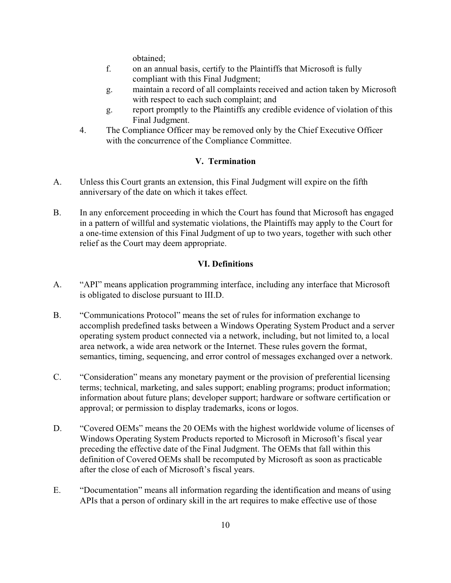obtained;

- f. on an annual basis, certify to the Plaintiffs that Microsoft is fully compliant with this Final Judgment;
- g. maintain a record of all complaints received and action taken by Microsoft with respect to each such complaint; and
- g. report promptly to the Plaintiffs any credible evidence of violation of this Final Judgment.
- 4. The Compliance Officer may be removed only by the Chief Executive Officer with the concurrence of the Compliance Committee.

## **V. Termination**

- A. Unless this Court grants an extension, this Final Judgment will expire on the fifth anniversary of the date on which it takes effect.
- B. In any enforcement proceeding in which the Court has found that Microsoft has engaged in a pattern of willful and systematic violations, the Plaintiffs may apply to the Court for a one-time extension of this Final Judgment of up to two years, together with such other relief as the Court may deem appropriate.

### **VI. Definitions**

- A. "API" means application programming interface, including any interface that Microsoft is obligated to disclose pursuant to III.D.
- B. "Communications Protocol" means the set of rules for information exchange to accomplish predefined tasks between a Windows Operating System Product and a server operating system product connected via a network, including, but not limited to, a local area network, a wide area network or the Internet. These rules govern the format, semantics, timing, sequencing, and error control of messages exchanged over a network.
- C. "Consideration" means any monetary payment or the provision of preferential licensing terms; technical, marketing, and sales support; enabling programs; product information; information about future plans; developer support; hardware or software certification or approval; or permission to display trademarks, icons or logos.
- D. "Covered OEMs" means the 20 OEMs with the highest worldwide volume of licenses of Windows Operating System Products reported to Microsoft in Microsoft's fiscal year preceding the effective date of the Final Judgment. The OEMs that fall within this definition of Covered OEMs shall be recomputed by Microsoft as soon as practicable after the close of each of Microsoft's fiscal years.
- E. "Documentation" means all information regarding the identification and means of using APIs that a person of ordinary skill in the art requires to make effective use of those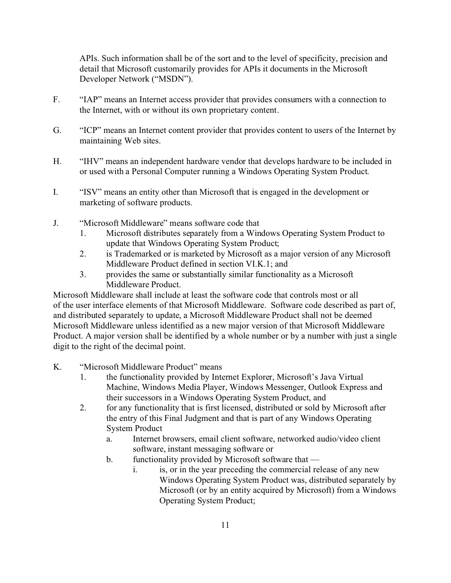APIs. Such information shall be of the sort and to the level of specificity, precision and detail that Microsoft customarily provides for APIs it documents in the Microsoft Developer Network ("MSDN").

- F. "IAP" means an Internet access provider that provides consumers with a connection to the Internet, with or without its own proprietary content.
- G. "ICP" means an Internet content provider that provides content to users of the Internet by maintaining Web sites.
- H. "IHV" means an independent hardware vendor that develops hardware to be included in or used with a Personal Computer running a Windows Operating System Product.
- I. "ISV" means an entity other than Microsoft that is engaged in the development or marketing of software products.
- J. "Microsoft Middleware" means software code that
	- 1. Microsoft distributes separately from a Windows Operating System Product to update that Windows Operating System Product;
	- 2. is Trademarked or is marketed by Microsoft as a major version of any Microsoft Middleware Product defined in section VI.K.1; and
	- 3. provides the same or substantially similar functionality as a Microsoft Middleware Product.

Microsoft Middleware shall include at least the software code that controls most or all of the user interface elements of that Microsoft Middleware. Software code described as part of, and distributed separately to update, a Microsoft Middleware Product shall not be deemed Microsoft Middleware unless identified as a new major version of that Microsoft Middleware Product. A major version shall be identified by a whole number or by a number with just a single digit to the right of the decimal point.

### K. "Microsoft Middleware Product" means

- 1. the functionality provided by Internet Explorer, Microsoft's Java Virtual Machine, Windows Media Player, Windows Messenger, Outlook Express and their successors in a Windows Operating System Product, and
- 2. for any functionality that is first licensed, distributed or sold by Microsoft after the entry of this Final Judgment and that is part of any Windows Operating System Product
	- a. Internet browsers, email client software, networked audio/video client software, instant messaging software or
	- b. functionality provided by Microsoft software that
		- i. is, or in the year preceding the commercial release of any new Windows Operating System Product was, distributed separately by Microsoft (or by an entity acquired by Microsoft) from a Windows Operating System Product;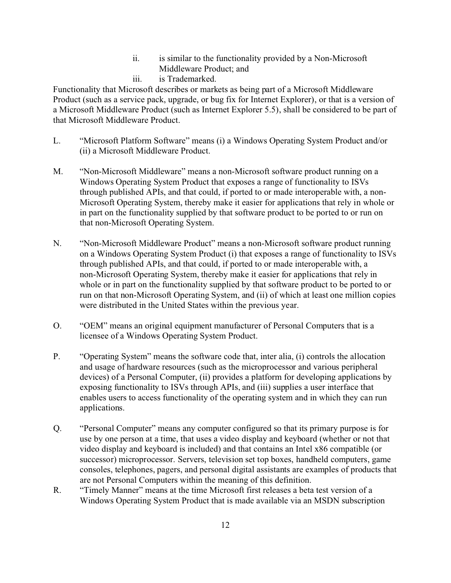- ii. is similar to the functionality provided by a Non-Microsoft Middleware Product; and
- iii. is Trademarked.

Functionality that Microsoft describes or markets as being part of a Microsoft Middleware Product (such as a service pack, upgrade, or bug fix for Internet Explorer), or that is a version of a Microsoft Middleware Product (such as Internet Explorer 5.5), shall be considered to be part of that Microsoft Middleware Product.

- L. "Microsoft Platform Software" means (i) a Windows Operating System Product and/or (ii) a Microsoft Middleware Product.
- M. "Non-Microsoft Middleware" means a non-Microsoft software product running on a Windows Operating System Product that exposes a range of functionality to ISVs through published APIs, and that could, if ported to or made interoperable with, a non-Microsoft Operating System, thereby make it easier for applications that rely in whole or in part on the functionality supplied by that software product to be ported to or run on that non-Microsoft Operating System.
- N. "Non-Microsoft Middleware Product" means a non-Microsoft software product running on a Windows Operating System Product (i) that exposes a range of functionality to ISVs through published APIs, and that could, if ported to or made interoperable with, a non-Microsoft Operating System, thereby make it easier for applications that rely in whole or in part on the functionality supplied by that software product to be ported to or run on that non-Microsoft Operating System, and (ii) of which at least one million copies were distributed in the United States within the previous year.
- O. "OEM" means an original equipment manufacturer of Personal Computers that is a licensee of a Windows Operating System Product.
- P. "Operating System" means the software code that, inter alia, (i) controls the allocation and usage of hardware resources (such as the microprocessor and various peripheral devices) of a Personal Computer, (ii) provides a platform for developing applications by exposing functionality to ISVs through APIs, and (iii) supplies a user interface that enables users to access functionality of the operating system and in which they can run applications.
- Q. "Personal Computer" means any computer configured so that its primary purpose is for use by one person at a time, that uses a video display and keyboard (whether or not that video display and keyboard is included) and that contains an Intel x86 compatible (or successor) microprocessor. Servers, television set top boxes, handheld computers, game consoles, telephones, pagers, and personal digital assistants are examples of products that are not Personal Computers within the meaning of this definition.
- R. "Timely Manner" means at the time Microsoft first releases a beta test version of a Windows Operating System Product that is made available via an MSDN subscription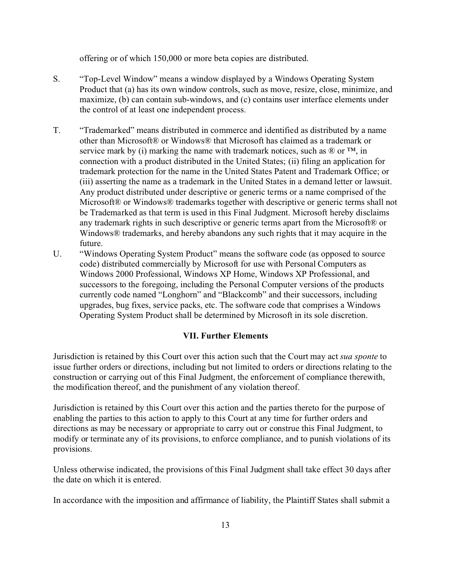offering or of which 150,000 or more beta copies are distributed.

- S. "Top-Level Window" means a window displayed by a Windows Operating System Product that (a) has its own window controls, such as move, resize, close, minimize, and maximize, (b) can contain sub-windows, and (c) contains user interface elements under the control of at least one independent process.
- T. "Trademarked" means distributed in commerce and identified as distributed by a name other than Microsoft® or Windows® that Microsoft has claimed as a trademark or service mark by (i) marking the name with trademark notices, such as  $\mathcal{R}$  or  $TM$ , in connection with a product distributed in the United States; (ii) filing an application for trademark protection for the name in the United States Patent and Trademark Office; or (iii) asserting the name as a trademark in the United States in a demand letter or lawsuit. Any product distributed under descriptive or generic terms or a name comprised of the Microsoft® or Windows® trademarks together with descriptive or generic terms shall not be Trademarked as that term is used in this Final Judgment. Microsoft hereby disclaims any trademark rights in such descriptive or generic terms apart from the Microsoft® or Windows® trademarks, and hereby abandons any such rights that it may acquire in the future.
- U. "Windows Operating System Product" means the software code (as opposed to source code) distributed commercially by Microsoft for use with Personal Computers as Windows 2000 Professional, Windows XP Home, Windows XP Professional, and successors to the foregoing, including the Personal Computer versions of the products currently code named "Longhorn" and "Blackcomb" and their successors, including upgrades, bug fixes, service packs, etc. The software code that comprises a Windows Operating System Product shall be determined by Microsoft in its sole discretion.

### **VII. Further Elements**

Jurisdiction is retained by this Court over this action such that the Court may act *sua sponte* to issue further orders or directions, including but not limited to orders or directions relating to the construction or carrying out of this Final Judgment, the enforcement of compliance therewith, the modification thereof, and the punishment of any violation thereof.

Jurisdiction is retained by this Court over this action and the parties thereto for the purpose of enabling the parties to this action to apply to this Court at any time for further orders and directions as may be necessary or appropriate to carry out or construe this Final Judgment, to modify or terminate any of its provisions, to enforce compliance, and to punish violations of its provisions.

Unless otherwise indicated, the provisions of this Final Judgment shall take effect 30 days after the date on which it is entered.

In accordance with the imposition and affirmance of liability, the Plaintiff States shall submit a